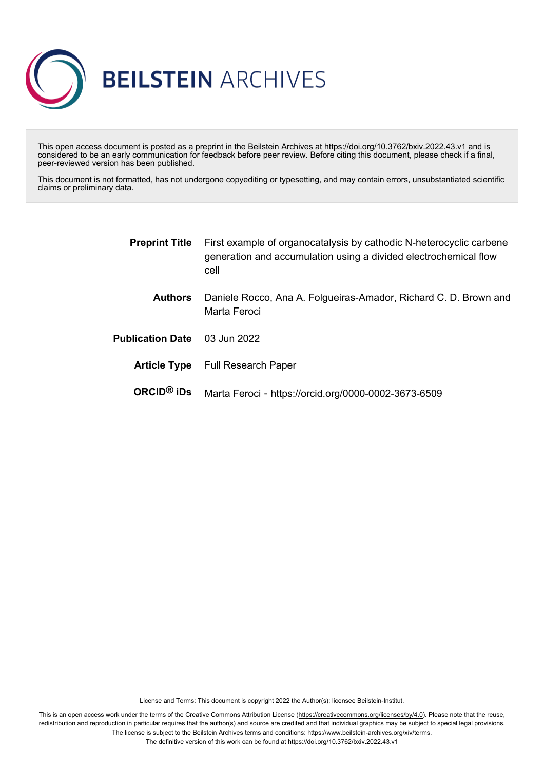

This open access document is posted as a preprint in the Beilstein Archives at https://doi.org/10.3762/bxiv.2022.43.v1 and is considered to be an early communication for feedback before peer review. Before citing this document, please check if a final, peer-reviewed version has been published.

This document is not formatted, has not undergone copyediting or typesetting, and may contain errors, unsubstantiated scientific claims or preliminary data.

| <b>Preprint Title</b>   | First example of organocatalysis by cathodic N-heterocyclic carbene<br>generation and accumulation using a divided electrochemical flow<br>cell |
|-------------------------|-------------------------------------------------------------------------------------------------------------------------------------------------|
| <b>Authors</b>          | Daniele Rocco, Ana A. Folgueiras-Amador, Richard C. D. Brown and<br>Marta Feroci                                                                |
| <b>Publication Date</b> | 03 Jun 2022                                                                                                                                     |
| <b>Article Type</b>     | <b>Full Research Paper</b>                                                                                                                      |
| ORCID $@$ iDs           | Marta Feroci - https://orcid.org/0000-0002-3673-6509                                                                                            |

License and Terms: This document is copyright 2022 the Author(s); licensee Beilstein-Institut.

This is an open access work under the terms of the Creative Commons Attribution License [\(https://creativecommons.org/licenses/by/4.0\)](https://creativecommons.org/licenses/by/4.0). Please note that the reuse, redistribution and reproduction in particular requires that the author(s) and source are credited and that individual graphics may be subject to special legal provisions. The license is subject to the Beilstein Archives terms and conditions: [https://www.beilstein-archives.org/xiv/terms.](https://www.beilstein-archives.org/xiv/terms)

The definitive version of this work can be found at <https://doi.org/10.3762/bxiv.2022.43.v1>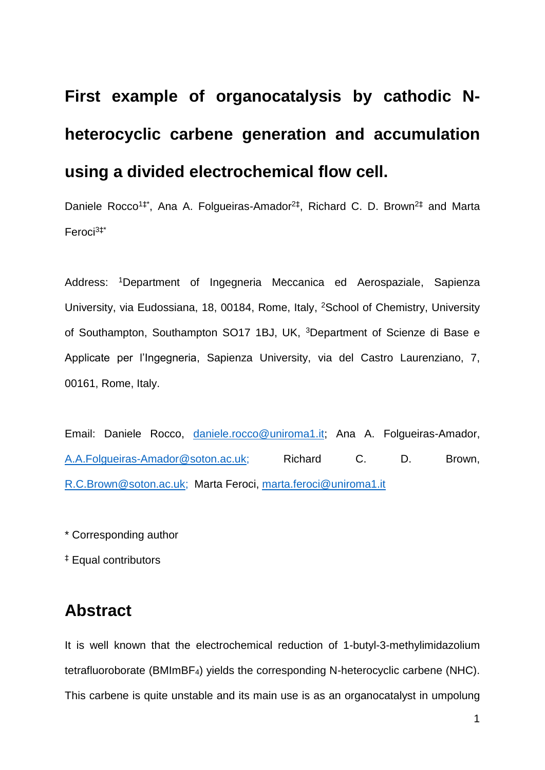# **First example of organocatalysis by cathodic Nheterocyclic carbene generation and accumulation using a divided electrochemical flow cell.**

Daniele Rocco<sup>1‡\*</sup>, Ana A. Folgueiras-Amador<sup>2‡</sup>, Richard C. D. Brown<sup>2‡</sup> and Marta Feroci3‡\*

Address: <sup>1</sup>Department of Ingegneria Meccanica ed Aerospaziale, Sapienza University, via Eudossiana, 18, 00184, Rome, Italy, <sup>2</sup>School of Chemistry, University of Southampton, Southampton SO17 1BJ, UK, <sup>3</sup>Department of Scienze di Base e Applicate per l'Ingegneria, Sapienza University, via del Castro Laurenziano, 7, 00161, Rome, Italy.

Email: Daniele Rocco, [daniele.rocco@uniroma1.it;](mailto:daniele.rocco@uniroma1.it) Ana A. Folgueiras-Amador, [A.A.Folgueiras-Amador@soton.ac.uk;](mailto:A.A.Folgueiras-Amador@soton.ac.uk) Richard C. D. Brown, R.C.Brown@soton.ac.uk; Marta Feroci, [marta.feroci@uniroma1.it](mailto:marta.feroci@uniroma1.it)

\* Corresponding author

‡ Equal contributors

### **Abstract**

It is well known that the electrochemical reduction of 1-butyl-3-methylimidazolium tetrafluoroborate (BMImBF4) yields the corresponding N-heterocyclic carbene (NHC). This carbene is quite unstable and its main use is as an organocatalyst in umpolung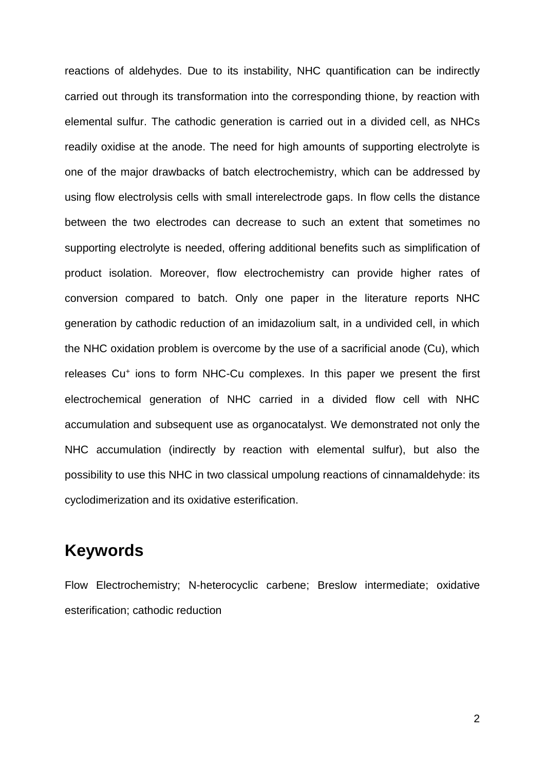reactions of aldehydes. Due to its instability, NHC quantification can be indirectly carried out through its transformation into the corresponding thione, by reaction with elemental sulfur. The cathodic generation is carried out in a divided cell, as NHCs readily oxidise at the anode. The need for high amounts of supporting electrolyte is one of the major drawbacks of batch electrochemistry, which can be addressed by using flow electrolysis cells with small interelectrode gaps. In flow cells the distance between the two electrodes can decrease to such an extent that sometimes no supporting electrolyte is needed, offering additional benefits such as simplification of product isolation. Moreover, flow electrochemistry can provide higher rates of conversion compared to batch. Only one paper in the literature reports NHC generation by cathodic reduction of an imidazolium salt, in a undivided cell, in which the NHC oxidation problem is overcome by the use of a sacrificial anode (Cu), which releases Cu<sup>+</sup> ions to form NHC-Cu complexes. In this paper we present the first electrochemical generation of NHC carried in a divided flow cell with NHC accumulation and subsequent use as organocatalyst. We demonstrated not only the NHC accumulation (indirectly by reaction with elemental sulfur), but also the possibility to use this NHC in two classical umpolung reactions of cinnamaldehyde: its cyclodimerization and its oxidative esterification.

### **Keywords**

Flow Electrochemistry; N-heterocyclic carbene; Breslow intermediate; oxidative esterification; cathodic reduction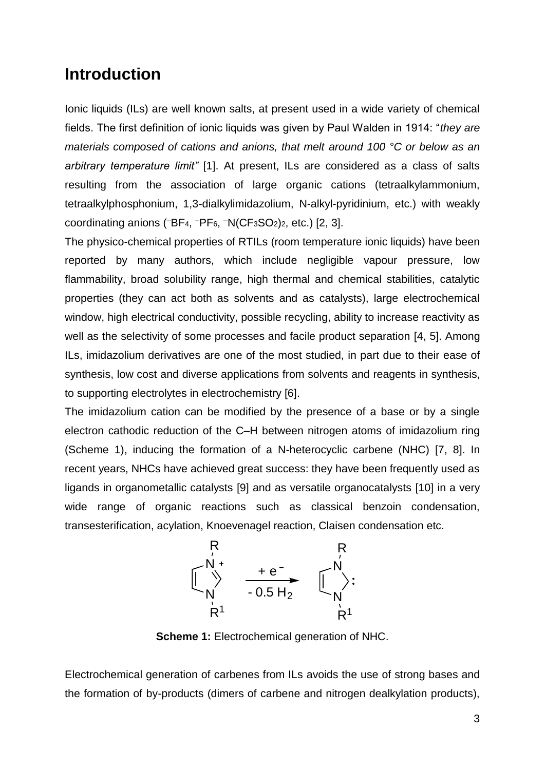### **Introduction**

Ionic liquids (ILs) are well known salts, at present used in a wide variety of chemical fields. The first definition of ionic liquids was given by Paul Walden in 1914: "*they are materials composed of cations and anions, that melt around 100 °C or below as an arbitrary temperature limit"* [1]. At present, ILs are considered as a class of salts resulting from the association of large organic cations (tetraalkylammonium, tetraalkylphosphonium, 1,3-dialkylimidazolium, N-alkyl-pyridinium, etc.) with weakly coordinating anions ( $-BF_4$ ,  $-PF_6$ ,  $-N(CF_3SO_2)_2$ , etc.) [2, 3].

The physico-chemical properties of RTILs (room temperature ionic liquids) have been reported by many authors, which include negligible vapour pressure, low flammability, broad solubility range, high thermal and chemical stabilities, catalytic properties (they can act both as solvents and as catalysts), large electrochemical window, high electrical conductivity, possible recycling, ability to increase reactivity as well as the selectivity of some processes and facile product separation [4, 5]. Among ILs, imidazolium derivatives are one of the most studied, in part due to their ease of synthesis, low cost and diverse applications from solvents and reagents in synthesis, to supporting electrolytes in electrochemistry [6].

The imidazolium cation can be modified by the presence of a base or by a single electron cathodic reduction of the C–H between nitrogen atoms of imidazolium ring (Scheme 1), inducing the formation of a N-heterocyclic carbene (NHC) [7, 8]. In recent years, NHCs have achieved great success: they have been frequently used as ligands in organometallic catalysts [9] and as versatile organocatalysts [10] in a very wide range of organic reactions such as classical benzoin condensation, transesterification, acylation, Knoevenagel reaction, Claisen condensation etc.



**Scheme 1:** Electrochemical generation of NHC.

Electrochemical generation of carbenes from ILs avoids the use of strong bases and the formation of by-products (dimers of carbene and nitrogen dealkylation products),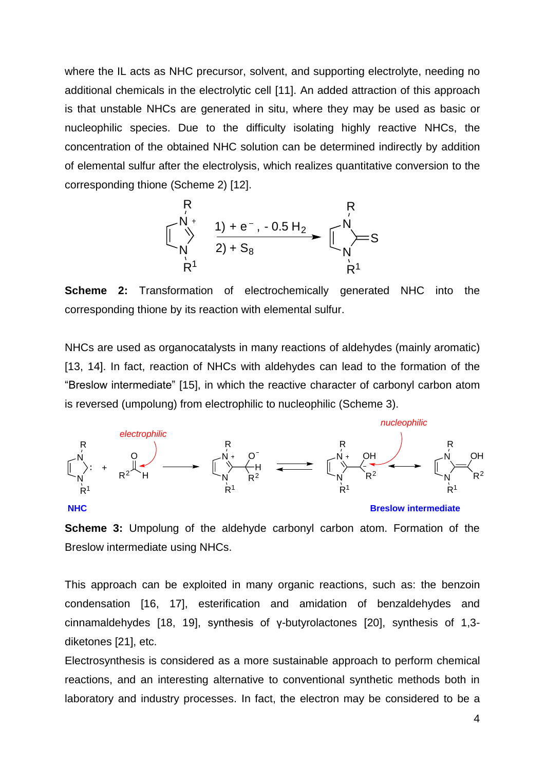where the IL acts as NHC precursor, solvent, and supporting electrolyte, needing no additional chemicals in the electrolytic cell [11]. An added attraction of this approach is that unstable NHCs are generated in situ, where they may be used as basic or nucleophilic species. Due to the difficulty isolating highly reactive NHCs, the concentration of the obtained NHC solution can be determined indirectly by addition of elemental sulfur after the electrolysis, which realizes quantitative conversion to the corresponding thione (Scheme 2) [12].



**Scheme 2:** Transformation of electrochemically generated NHC into the corresponding thione by its reaction with elemental sulfur.

NHCs are used as organocatalysts in many reactions of aldehydes (mainly aromatic) [13, 14]. In fact, reaction of NHCs with aldehydes can lead to the formation of the "Breslow intermediate" [15], in which the reactive character of carbonyl carbon atom is reversed (umpolung) from electrophilic to nucleophilic (Scheme 3).



**Scheme 3:** Umpolung of the aldehyde carbonyl carbon atom. Formation of the Breslow intermediate using NHCs.

This approach can be exploited in many organic reactions, such as: the benzoin condensation [16, 17], esterification and amidation of benzaldehydes and cinnamaldehydes [18, 19], synthesis of γ-butyrolactones [20], synthesis of 1,3 diketones [21], etc.

Electrosynthesis is considered as a more sustainable approach to perform chemical reactions, and an interesting alternative to conventional synthetic methods both in laboratory and industry processes. In fact, the electron may be considered to be a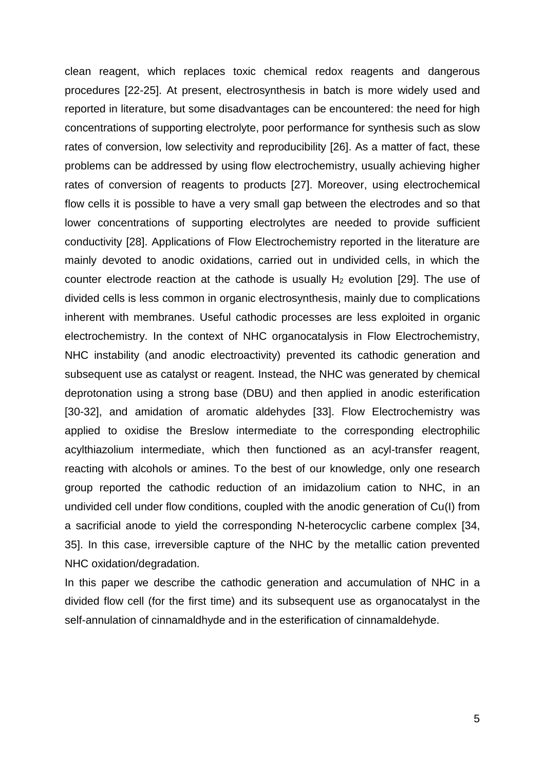clean reagent, which replaces toxic chemical redox reagents and dangerous procedures [22-25]. At present, electrosynthesis in batch is more widely used and reported in literature, but some disadvantages can be encountered: the need for high concentrations of supporting electrolyte, poor performance for synthesis such as slow rates of conversion, low selectivity and reproducibility [26]. As a matter of fact, these problems can be addressed by using flow electrochemistry, usually achieving higher rates of conversion of reagents to products [27]. Moreover, using electrochemical flow cells it is possible to have a very small gap between the electrodes and so that lower concentrations of supporting electrolytes are needed to provide sufficient conductivity [28]. Applications of Flow Electrochemistry reported in the literature are mainly devoted to anodic oxidations, carried out in undivided cells, in which the counter electrode reaction at the cathode is usually  $H_2$  evolution [29]. The use of divided cells is less common in organic electrosynthesis, mainly due to complications inherent with membranes. Useful cathodic processes are less exploited in organic electrochemistry. In the context of NHC organocatalysis in Flow Electrochemistry, NHC instability (and anodic electroactivity) prevented its cathodic generation and subsequent use as catalyst or reagent. Instead, the NHC was generated by chemical deprotonation using a strong base (DBU) and then applied in anodic esterification [30-32], and amidation of aromatic aldehydes [33]. Flow Electrochemistry was applied to oxidise the Breslow intermediate to the corresponding electrophilic acylthiazolium intermediate, which then functioned as an acyl-transfer reagent, reacting with alcohols or amines. To the best of our knowledge, only one research group reported the cathodic reduction of an imidazolium cation to NHC, in an undivided cell under flow conditions, coupled with the anodic generation of Cu(I) from a sacrificial anode to yield the corresponding N-heterocyclic carbene complex [34, 35]. In this case, irreversible capture of the NHC by the metallic cation prevented NHC oxidation/degradation.

In this paper we describe the cathodic generation and accumulation of NHC in a divided flow cell (for the first time) and its subsequent use as organocatalyst in the self-annulation of cinnamaldhyde and in the esterification of cinnamaldehyde.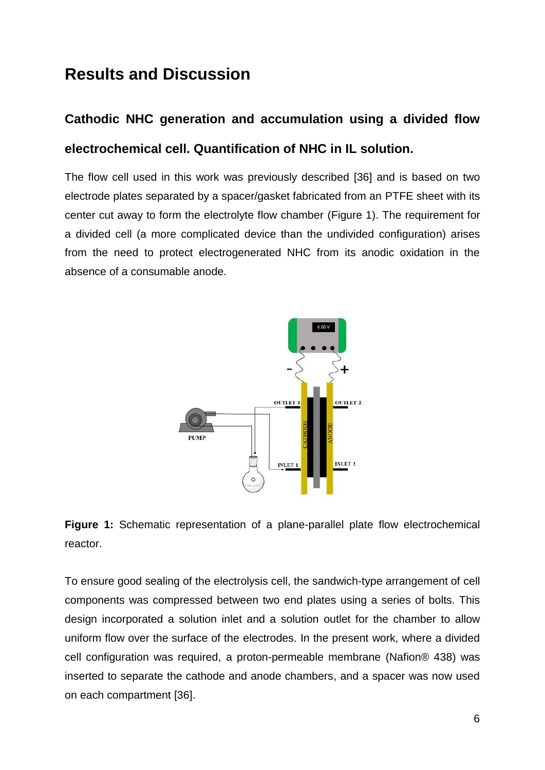### **Results and Discussion**

## **Cathodic NHC generation and accumulation using a divided flow electrochemical cell. Quantification of NHC in IL solution.**

The flow cell used in this work was previously described [36] and is based on two electrode plates separated by a spacer/gasket fabricated from an PTFE sheet with its center cut away to form the electrolyte flow chamber (Figure 1). The requirement for a divided cell (a more complicated device than the undivided configuration) arises from the need to protect electrogenerated NHC from its anodic oxidation in the absence of a consumable anode.





To ensure good sealing of the electrolysis cell, the sandwich-type arrangement of cell components was compressed between two end plates using a series of bolts. This design incorporated a solution inlet and a solution outlet for the chamber to allow uniform flow over the surface of the electrodes. In the present work, where a divided cell configuration was required, a proton-permeable membrane (Nafion® 438) was inserted to separate the cathode and anode chambers, and a spacer was now used on each compartment [36].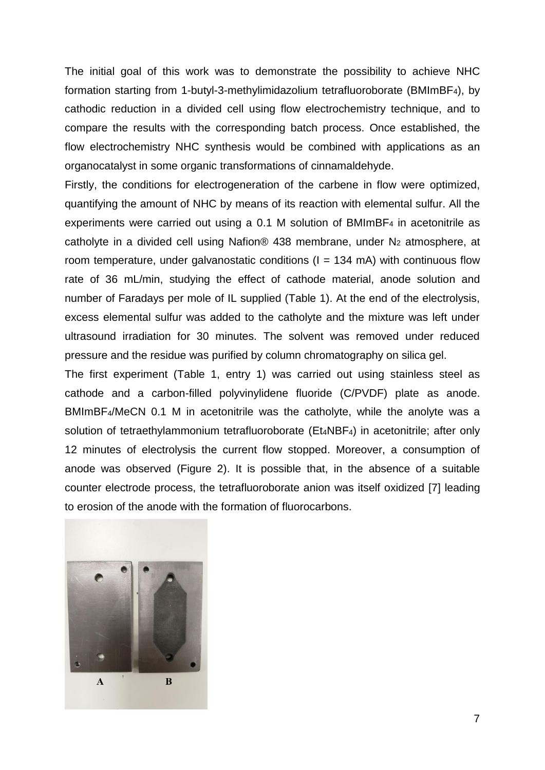The initial goal of this work was to demonstrate the possibility to achieve NHC formation starting from 1-butyl-3-methylimidazolium tetrafluoroborate (BMImBF4), by cathodic reduction in a divided cell using flow electrochemistry technique, and to compare the results with the corresponding batch process. Once established, the flow electrochemistry NHC synthesis would be combined with applications as an organocatalyst in some organic transformations of cinnamaldehyde.

Firstly, the conditions for electrogeneration of the carbene in flow were optimized, quantifying the amount of NHC by means of its reaction with elemental sulfur. All the experiments were carried out using a 0.1 M solution of BMImBF<sub>4</sub> in acetonitrile as catholyte in a divided cell using Nafion® 438 membrane, under  $N_2$  atmosphere, at room temperature, under galvanostatic conditions ( $I = 134$  mA) with continuous flow rate of 36 mL/min, studying the effect of cathode material, anode solution and number of Faradays per mole of IL supplied (Table 1). At the end of the electrolysis, excess elemental sulfur was added to the catholyte and the mixture was left under ultrasound irradiation for 30 minutes. The solvent was removed under reduced pressure and the residue was purified by column chromatography on silica gel.

The first experiment (Table 1, entry 1) was carried out using stainless steel as cathode and a carbon-filled polyvinylidene fluoride (C/PVDF) plate as anode. BMImBF4/MeCN 0.1 M in acetonitrile was the catholyte, while the anolyte was a solution of tetraethylammonium tetrafluoroborate (Et<sub>4</sub>NBF<sub>4</sub>) in acetonitrile; after only 12 minutes of electrolysis the current flow stopped. Moreover, a consumption of anode was observed (Figure 2). It is possible that, in the absence of a suitable counter electrode process, the tetrafluoroborate anion was itself oxidized [7] leading to erosion of the anode with the formation of fluorocarbons.

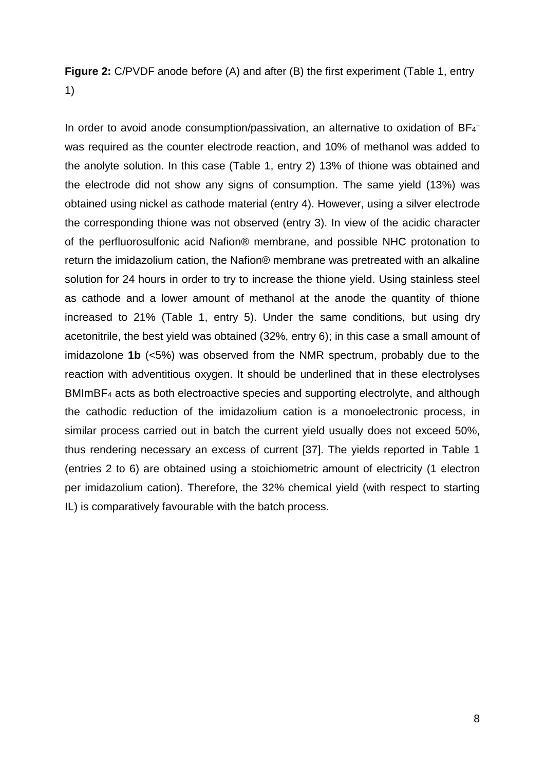**Figure 2:** C/PVDF anode before (A) and after (B) the first experiment (Table 1, entry 1)

In order to avoid anode consumption/passivation, an alternative to oxidation of BF4 was required as the counter electrode reaction, and 10% of methanol was added to the anolyte solution. In this case (Table 1, entry 2) 13% of thione was obtained and the electrode did not show any signs of consumption. The same yield (13%) was obtained using nickel as cathode material (entry 4). However, using a silver electrode the corresponding thione was not observed (entry 3). In view of the acidic character of the perfluorosulfonic acid Nafion® membrane, and possible NHC protonation to return the imidazolium cation, the Nafion® membrane was pretreated with an alkaline solution for 24 hours in order to try to increase the thione yield. Using stainless steel as cathode and a lower amount of methanol at the anode the quantity of thione increased to 21% (Table 1, entry 5). Under the same conditions, but using dry acetonitrile, the best yield was obtained (32%, entry 6); in this case a small amount of imidazolone **1b** (<5%) was observed from the NMR spectrum, probably due to the reaction with adventitious oxygen. It should be underlined that in these electrolyses BMImBF<sup>4</sup> acts as both electroactive species and supporting electrolyte, and although the cathodic reduction of the imidazolium cation is a monoelectronic process, in similar process carried out in batch the current yield usually does not exceed 50%, thus rendering necessary an excess of current [37]. The yields reported in Table 1 (entries 2 to 6) are obtained using a stoichiometric amount of electricity (1 electron per imidazolium cation). Therefore, the 32% chemical yield (with respect to starting IL) is comparatively favourable with the batch process.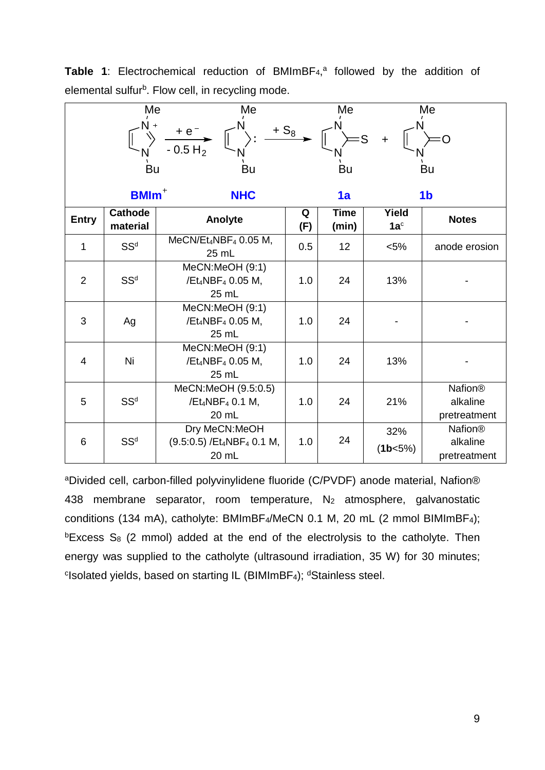|                | Me                         | Me                                                                       |          | Me                   |                          | Me                                         |
|----------------|----------------------------|--------------------------------------------------------------------------|----------|----------------------|--------------------------|--------------------------------------------|
|                |                            | $+e^{-}$<br>$-0.5 H2$                                                    | $+ S_8$  |                      | $\ddot{}$                |                                            |
|                | Bu                         | Bu                                                                       |          | Bu                   |                          | Bu                                         |
|                | <b>BMIm</b> <sup>+</sup>   | <b>NHC</b>                                                               |          | 1a                   |                          | 1 <sub>b</sub>                             |
| <b>Entry</b>   | <b>Cathode</b><br>material | Anolyte                                                                  | Q<br>(F) | <b>Time</b><br>(min) | Yield<br>1a <sup>c</sup> | <b>Notes</b>                               |
| 1              | SS <sup>d</sup>            | $MeCN/Et_4NBF_4$ 0.05 M,<br>25 mL                                        | 0.5      | 12                   | $< 5\%$                  | anode erosion                              |
| $\overline{2}$ | SS <sup>d</sup>            | MeCN:MeOH (9:1)<br>/Et <sub>4</sub> NBF <sub>4</sub> 0.05 M,<br>25 mL    | 1.0      | 24                   | 13%                      |                                            |
| 3              | Ag                         | MeCN:MeOH (9:1)<br>/Et <sub>4</sub> NBF <sub>4</sub> 0.05 M,<br>25 mL    | 1.0      | 24                   |                          |                                            |
| $\overline{4}$ | Ni                         | MeCN:MeOH (9:1)<br>/Et <sub>4</sub> NBF <sub>4</sub> 0.05 M,<br>25 mL    | 1.0      | 24                   | 13%                      |                                            |
| 5              | SS <sup>d</sup>            | MeCN:MeOH (9.5:0.5)<br>/Et <sub>4</sub> NBF <sub>4</sub> 0.1 M,<br>20 mL | 1.0      | 24                   | 21%                      | <b>Nafion®</b><br>alkaline<br>pretreatment |
| 6              | SS <sup>d</sup>            | Dry MeCN:MeOH<br>(9.5:0.5) /Et4NBF4 0.1 M,<br>20 mL                      | 1.0      | 24                   | 32%<br>(1b<5%)           | <b>Nafion®</b><br>alkaline<br>pretreatment |

Table 1: Electrochemical reduction of BMImBF<sub>4</sub>,<sup>a</sup> followed by the addition of elemental sulfur<sup>b</sup>. Flow cell, in recycling mode.

<sup>a</sup>Divided cell, carbon-filled polyvinylidene fluoride (C/PVDF) anode material, Nafion® 438 membrane separator, room temperature, N<sup>2</sup> atmosphere, galvanostatic conditions (134 mA), catholyte: BMImBF4/MeCN 0.1 M, 20 mL (2 mmol BIMImBF4);  $b$ Excess S<sub>8</sub> (2 mmol) added at the end of the electrolysis to the catholyte. Then energy was supplied to the catholyte (ultrasound irradiation, 35 W) for 30 minutes; <sup>c</sup>Isolated yields, based on starting IL (BIMImBF<sub>4</sub>); <sup>d</sup>Stainless steel.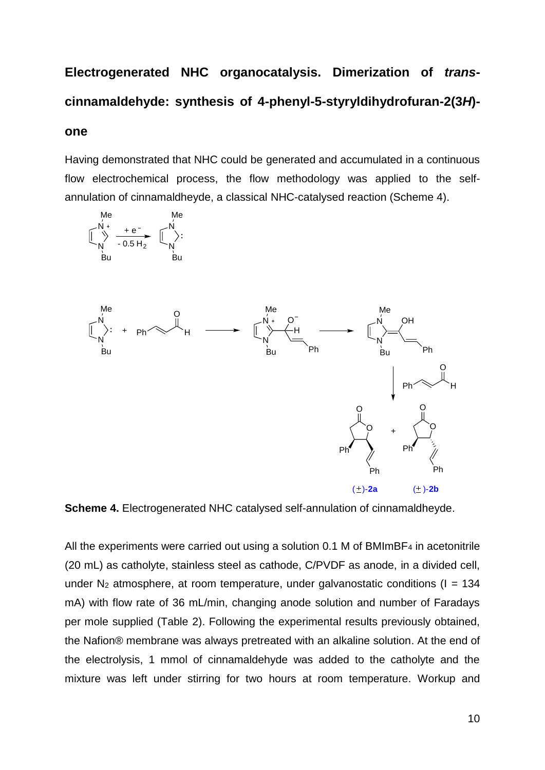# **Electrogenerated NHC organocatalysis. Dimerization of** *trans***cinnamaldehyde: synthesis of 4-phenyl-5-styryldihydrofuran-2(3***H***)-**

#### **one**

Having demonstrated that NHC could be generated and accumulated in a continuous flow electrochemical process, the flow methodology was applied to the selfannulation of cinnamaldheyde, a classical NHC-catalysed reaction (Scheme 4).



**Scheme 4.** Electrogenerated NHC catalysed self-annulation of cinnamaldheyde.

All the experiments were carried out using a solution 0.1 M of BMImBF<sub>4</sub> in acetonitrile (20 mL) as catholyte, stainless steel as cathode, C/PVDF as anode, in a divided cell, under N<sub>2</sub> atmosphere, at room temperature, under galvanostatic conditions ( $I = 134$ ) mA) with flow rate of 36 mL/min, changing anode solution and number of Faradays per mole supplied (Table 2). Following the experimental results previously obtained, the Nafion® membrane was always pretreated with an alkaline solution. At the end of the electrolysis, 1 mmol of cinnamaldehyde was added to the catholyte and the mixture was left under stirring for two hours at room temperature. Workup and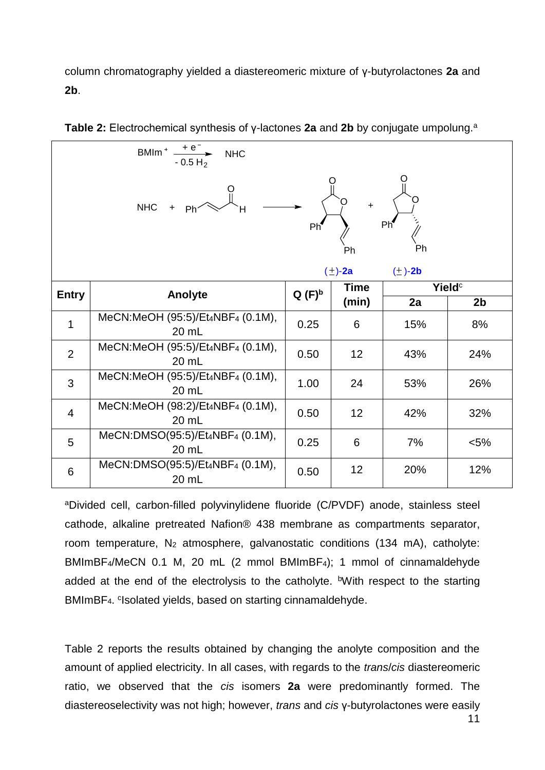column chromatography yielded a diastereomeric mixture of γ-butyrolactones **2a** and **2b**.

| BMIm <sup>+</sup> $\frac{+e^-}{-0.5\text{ H}_2}$<br><b>NHC</b>                                                                                                                                                                                                                                                                                                                                                                                                                                                                                                    |                                           |          |                      |                       |                    |
|-------------------------------------------------------------------------------------------------------------------------------------------------------------------------------------------------------------------------------------------------------------------------------------------------------------------------------------------------------------------------------------------------------------------------------------------------------------------------------------------------------------------------------------------------------------------|-------------------------------------------|----------|----------------------|-----------------------|--------------------|
|                                                                                                                                                                                                                                                                                                                                                                                                                                                                                                                                                                   | <b>NHC</b>                                |          | Ph                   | Ph <sup>4</sup><br>Ph |                    |
|                                                                                                                                                                                                                                                                                                                                                                                                                                                                                                                                                                   |                                           |          | $(\pm)$ -2a          | $(\pm)$ -2b           | Yield <sup>c</sup> |
| <b>Entry</b>                                                                                                                                                                                                                                                                                                                                                                                                                                                                                                                                                      | Anolyte                                   | $Q(F)^b$ | <b>Time</b><br>(min) | 2a                    | 2 <sub>b</sub>     |
| $\mathbf{1}$                                                                                                                                                                                                                                                                                                                                                                                                                                                                                                                                                      | MeCN:MeOH (95:5)/Et4NBF4 (0.1M),<br>20 mL | 0.25     | 6                    | 15%                   | 8%                 |
| $\overline{2}$                                                                                                                                                                                                                                                                                                                                                                                                                                                                                                                                                    | MeCN:MeOH (95:5)/Et4NBF4 (0.1M),<br>20 mL | 0.50     | 12                   | 43%                   | 24%                |
| 3                                                                                                                                                                                                                                                                                                                                                                                                                                                                                                                                                                 | MeCN:MeOH (95:5)/Et4NBF4 (0.1M),<br>20 mL | 1.00     | 24                   | 53%                   | 26%                |
| $\overline{4}$                                                                                                                                                                                                                                                                                                                                                                                                                                                                                                                                                    | MeCN:MeOH (98:2)/Et4NBF4 (0.1M),<br>20 mL | 0.50     | 12                   | 42%                   | 32%                |
| 5                                                                                                                                                                                                                                                                                                                                                                                                                                                                                                                                                                 | MeCN:DMSO(95:5)/Et4NBF4 (0.1M),<br>20 mL  | 0.25     | 6                    | 7%                    | $< 5\%$            |
| 6                                                                                                                                                                                                                                                                                                                                                                                                                                                                                                                                                                 | MeCN:DMSO(95:5)/Et4NBF4 (0.1M),<br>20 mL  | 0.50     | 12                   | 20%                   | 12%                |
| aDivided cell, carbon-filled polyvinylidene fluoride (C/PVDF) anode, stainless steel<br>cathode, alkaline pretreated Nafion® 438 membrane as compartments separator,<br>room temperature, N <sub>2</sub> atmosphere, galvanostatic conditions (134 mA), catholyte:<br>BMImBF <sub>4</sub> /MeCN 0.1 M, 20 mL (2 mmol BMImBF <sub>4</sub> ); 1 mmol of cinnamaldehyde<br>added at the end of the electrolysis to the catholyte. <sup>b</sup> With respect to the starting<br>BMImBF <sub>4</sub> . <sup>c</sup> Isolated yields, based on starting cinnamaldehyde. |                                           |          |                      |                       |                    |
| Table 2 reports the results obtained by changing the anolyte composition and the<br>amount of applied electricity. In all cases, with regards to the <i>trans/cis</i> diastereomeric<br>ratio, we observed that the cis isomers 2a were predominantly formed. The<br>diastereoselectivity was not high; however, trans and cis y-butyrolactones were easily                                                                                                                                                                                                       |                                           |          |                      |                       |                    |

**Table 2:** Electrochemical synthesis of y-lactones **2a** and **2b** by conjugate umpolung.<sup>a</sup>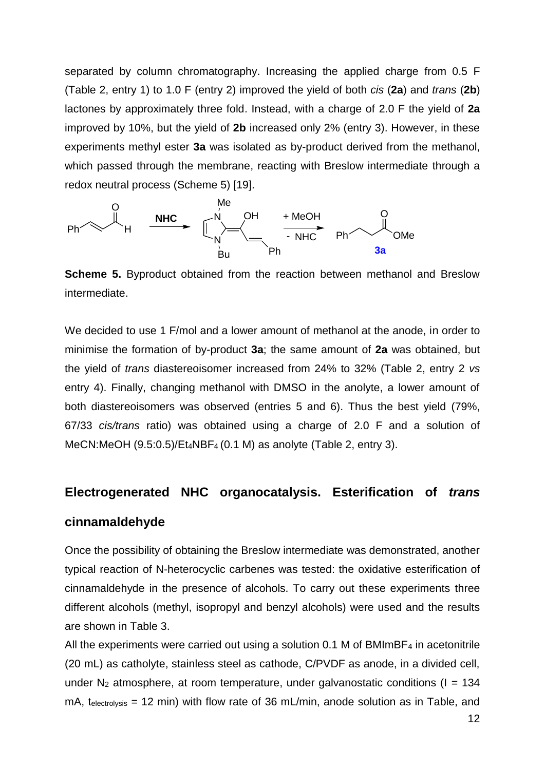separated by column chromatography. Increasing the applied charge from 0.5 F (Table 2, entry 1) to 1.0 F (entry 2) improved the yield of both *cis* (**2a**) and *trans* (**2b**) lactones by approximately three fold. Instead, with a charge of 2.0 F the yield of **2a** improved by 10%, but the yield of **2b** increased only 2% (entry 3). However, in these experiments methyl ester **3a** was isolated as by-product derived from the methanol, which passed through the membrane, reacting with Breslow intermediate through a redox neutral process (Scheme 5) [19].



**Scheme 5.** Byproduct obtained from the reaction between methanol and Breslow intermediate.

We decided to use 1 F/mol and a lower amount of methanol at the anode, in order to minimise the formation of by-product **3a**; the same amount of **2a** was obtained, but the yield of *trans* diastereoisomer increased from 24% to 32% (Table 2, entry 2 *vs* entry 4). Finally, changing methanol with DMSO in the anolyte, a lower amount of both diastereoisomers was observed (entries 5 and 6). Thus the best yield (79%, 67/33 *cis/trans* ratio) was obtained using a charge of 2.0 F and a solution of MeCN:MeOH (9.5:0.5)/Et4NBF4 (0.1 M) as anolyte (Table 2, entry 3).

#### **Electrogenerated NHC organocatalysis. Esterification of** *trans*

#### **cinnamaldehyde**

Once the possibility of obtaining the Breslow intermediate was demonstrated, another typical reaction of N-heterocyclic carbenes was tested: the oxidative esterification of cinnamaldehyde in the presence of alcohols. To carry out these experiments three different alcohols (methyl, isopropyl and benzyl alcohols) were used and the results are shown in Table 3.

All the experiments were carried out using a solution 0.1 M of BMImBF<sub>4</sub> in acetonitrile (20 mL) as catholyte, stainless steel as cathode, C/PVDF as anode, in a divided cell, under N<sub>2</sub> atmosphere, at room temperature, under galvanostatic conditions ( $I = 134$ ) mA, telectrolysis = 12 min) with flow rate of 36 mL/min, anode solution as in Table, and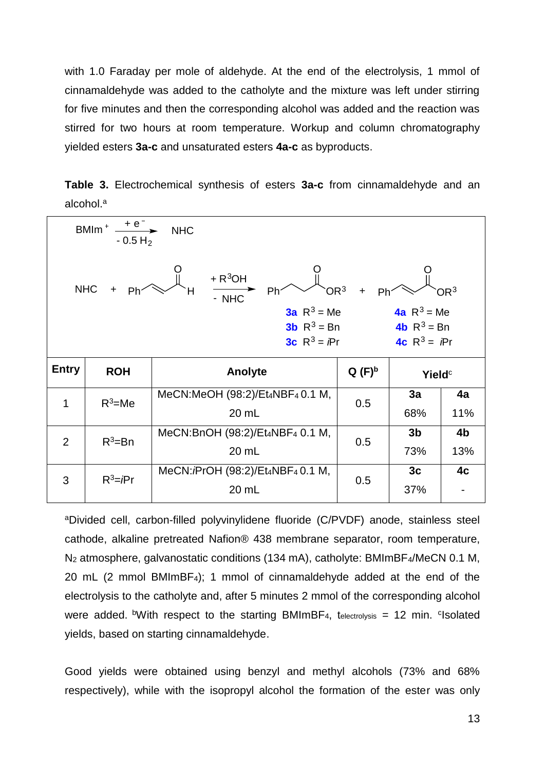with 1.0 Faraday per mole of aldehyde. At the end of the electrolysis, 1 mmol of cinnamaldehyde was added to the catholyte and the mixture was left under stirring for five minutes and then the corresponding alcohol was added and the reaction was stirred for two hours at room temperature. Workup and column chromatography yielded esters **3a-c** and unsaturated esters **4a-c** as byproducts.

|                       |  |  |  | Table 3. Electrochemical synthesis of esters 3a-c from cinnamaldehyde and an |  |
|-----------------------|--|--|--|------------------------------------------------------------------------------|--|
| alcohol. <sup>a</sup> |  |  |  |                                                                              |  |

|                                                                                                                                                                                                                                                                    | BMIm <sup>+</sup> $\stackrel{+ e^-}{\longrightarrow}$<br>$-0.5 H2$ | <b>NHC</b>                               |          |                           |           |
|--------------------------------------------------------------------------------------------------------------------------------------------------------------------------------------------------------------------------------------------------------------------|--------------------------------------------------------------------|------------------------------------------|----------|---------------------------|-----------|
| $+ R^3OH$<br><b>NHC</b><br>OR <sup>3</sup><br>OR <sup>3</sup><br>Ph<br>Н<br>Ph <sup>-</sup><br>Ph <sup>:</sup><br>$-$ NHC<br><b>3a</b> $R^3$ = Me<br><b>4a</b> $R^3$ = Me<br><b>3b</b> $R^3 = Bn$<br><b>4b</b> $R^3 = Bn$<br><b>3c</b> $R^3 = Pr$<br>4c $R^3 = Pr$ |                                                                    |                                          |          |                           |           |
|                                                                                                                                                                                                                                                                    |                                                                    |                                          |          |                           |           |
| <b>Entry</b>                                                                                                                                                                                                                                                       | <b>ROH</b>                                                         | Anolyte                                  | $Q(F)^b$ | <b>Yield</b> <sup>c</sup> |           |
| $\mathbf{1}$                                                                                                                                                                                                                                                       | $R^3$ =Me                                                          | MeCN:MeOH (98:2)/Et4NBF4 0.1 M,<br>20 mL | 0.5      | 3a<br>68%                 | 4a<br>11% |
| $\overline{2}$                                                                                                                                                                                                                                                     | $R^3 = Bn$                                                         | MeCN:BnOH (98:2)/Et4NBF4 0.1 M,<br>20 mL | 0.5      | 3 <sub>b</sub><br>73%     | 4b<br>13% |

<sup>a</sup>Divided cell, carbon-filled polyvinylidene fluoride (C/PVDF) anode, stainless steel cathode, alkaline pretreated Nafion® 438 membrane separator, room temperature, N<sub>2</sub> atmosphere, galvanostatic conditions (134 mA), catholyte: BMImBF<sub>4</sub>/MeCN 0.1 M, 20 mL (2 mmol BMImBF4); 1 mmol of cinnamaldehyde added at the end of the electrolysis to the catholyte and, after 5 minutes 2 mmol of the corresponding alcohol were added. <sup>b</sup>With respect to the starting BMImBF<sub>4</sub>, t<sub>electrolysis</sub> = 12 min. <sup>c</sup>Isolated yields, based on starting cinnamaldehyde.

Good yields were obtained using benzyl and methyl alcohols (73% and 68% respectively), while with the isopropyl alcohol the formation of the ester was only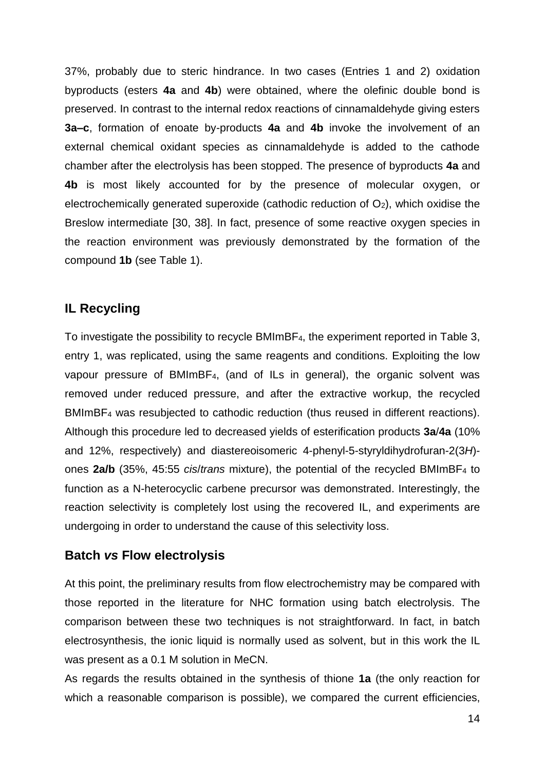37%, probably due to steric hindrance. In two cases (Entries 1 and 2) oxidation byproducts (esters **4a** and **4b**) were obtained, where the olefinic double bond is preserved. In contrast to the internal redox reactions of cinnamaldehyde giving esters **3a–c**, formation of enoate by-products **4a** and **4b** invoke the involvement of an external chemical oxidant species as cinnamaldehyde is added to the cathode chamber after the electrolysis has been stopped. The presence of byproducts **4a** and **4b** is most likely accounted for by the presence of molecular oxygen, or electrochemically generated superoxide (cathodic reduction of  $O<sub>2</sub>$ ), which oxidise the Breslow intermediate [30, 38]. In fact, presence of some reactive oxygen species in the reaction environment was previously demonstrated by the formation of the compound **1b** (see Table 1).

#### **IL Recycling**

To investigate the possibility to recycle BMImBF4, the experiment reported in Table 3, entry 1, was replicated, using the same reagents and conditions. Exploiting the low vapour pressure of BMImBF4, (and of ILs in general), the organic solvent was removed under reduced pressure, and after the extractive workup, the recycled BMImBF<sup>4</sup> was resubjected to cathodic reduction (thus reused in different reactions). Although this procedure led to decreased yields of esterification products **3a**/**4a** (10% and 12%, respectively) and diastereoisomeric 4-phenyl-5-styryldihydrofuran-2(3*H*) ones **2a/b** (35%, 45:55 *cis*/*trans* mixture), the potential of the recycled BMImBF<sup>4</sup> to function as a N-heterocyclic carbene precursor was demonstrated. Interestingly, the reaction selectivity is completely lost using the recovered IL, and experiments are undergoing in order to understand the cause of this selectivity loss.

#### **Batch** *vs* **Flow electrolysis**

At this point, the preliminary results from flow electrochemistry may be compared with those reported in the literature for NHC formation using batch electrolysis. The comparison between these two techniques is not straightforward. In fact, in batch electrosynthesis, the ionic liquid is normally used as solvent, but in this work the IL was present as a 0.1 M solution in MeCN.

As regards the results obtained in the synthesis of thione **1a** (the only reaction for which a reasonable comparison is possible), we compared the current efficiencies,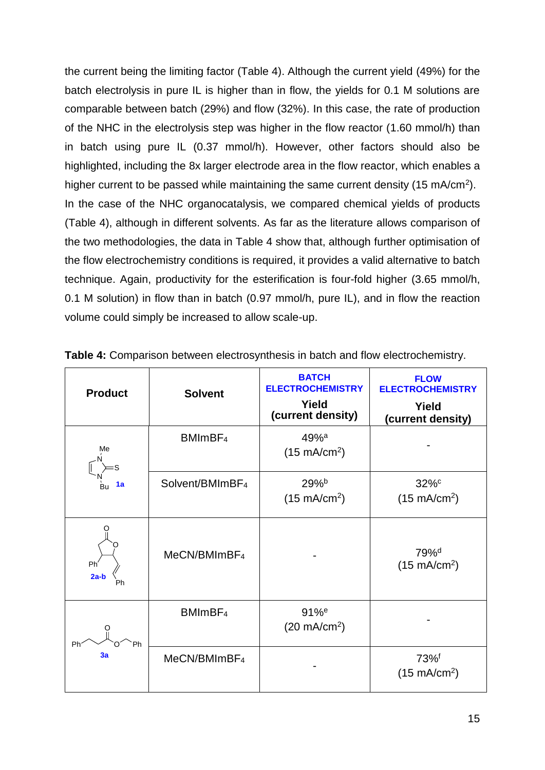the current being the limiting factor (Table 4). Although the current yield (49%) for the batch electrolysis in pure IL is higher than in flow, the yields for 0.1 M solutions are comparable between batch (29%) and flow (32%). In this case, the rate of production of the NHC in the electrolysis step was higher in the flow reactor (1.60 mmol/h) than in batch using pure IL (0.37 mmol/h). However, other factors should also be highlighted, including the 8x larger electrode area in the flow reactor, which enables a higher current to be passed while maintaining the same current density (15 mA/cm<sup>2</sup>). In the case of the NHC organocatalysis, we compared chemical yields of products (Table 4), although in different solvents. As far as the literature allows comparison of the two methodologies, the data in Table 4 show that, although further optimisation of the flow electrochemistry conditions is required, it provides a valid alternative to batch technique. Again, productivity for the esterification is four-fold higher (3.65 mmol/h, 0.1 M solution) in flow than in batch (0.97 mmol/h, pure IL), and in flow the reaction volume could simply be increased to allow scale-up.

| <b>Product</b>        | <b>Solvent</b>              | <b>BATCH</b><br><b>ELECTROCHEMISTRY</b><br>Yield<br>(current density) | <b>FLOW</b><br><b>ELECTROCHEMISTRY</b><br>Yield<br>(current density) |
|-----------------------|-----------------------------|-----------------------------------------------------------------------|----------------------------------------------------------------------|
| Me                    | BMImBF <sub>4</sub>         | $49%$ <sup>a</sup><br>$(15 \text{ mA/cm}^2)$                          |                                                                      |
| 1a                    | Solvent/BMImBF <sub>4</sub> | 29%b<br>$(15 \text{ mA/cm}^2)$                                        | 32%c<br>$(15 \text{ mA/cm}^2)$                                       |
| Ph'<br>$2a-b$<br>Ph   | MeCN/BMImBF <sub>4</sub>    |                                                                       | 79% <sup>d</sup><br>$(15 \text{ mA/cm}^2)$                           |
| Ph <sup>-</sup><br>Ph | BMImBF <sub>4</sub>         | $91%$ <sup>e</sup><br>$(20 \text{ mA/cm}^2)$                          |                                                                      |
| 3a                    | MeCN/BMImBF <sub>4</sub>    |                                                                       | 73% <sup>f</sup><br>$(15 \text{ mA/cm}^2)$                           |

**Table 4:** Comparison between electrosynthesis in batch and flow electrochemistry.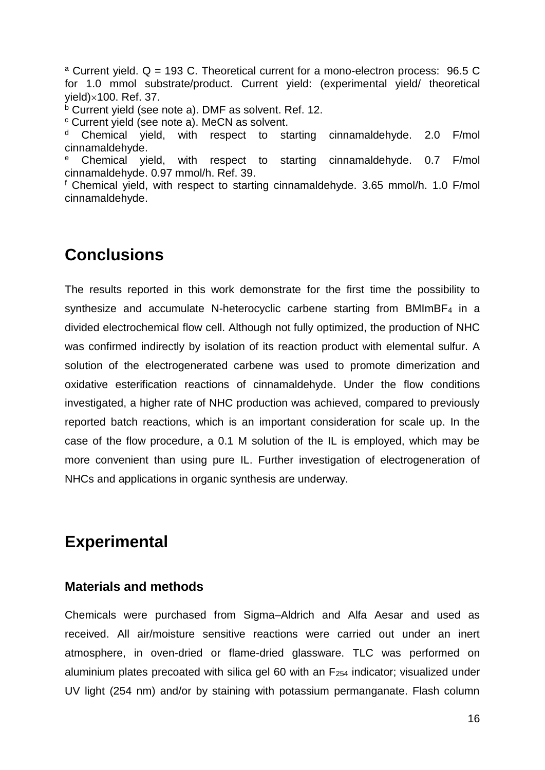<sup>a</sup> Current yield.  $Q = 193$  C. Theoretical current for a mono-electron process: 96.5 C for 1.0 mmol substrate/product. Current yield: (experimental yield/ theoretical  $yield) \times 100$ . Ref. 37.

 $<sup>b</sup>$  Current yield (see note a). DMF as solvent. Ref. 12.</sup>

<sup>c</sup> Current yield (see note a). MeCN as solvent.

Chemical yield, with respect to starting cinnamaldehyde. 2.0 F/mol cinnamaldehyde.

<sup>e</sup> Chemical yield, with respect to starting cinnamaldehyde. 0.7 F/mol cinnamaldehyde. 0.97 mmol/h. Ref. 39.

<sup>f</sup> Chemical yield, with respect to starting cinnamaldehyde. 3.65 mmol/h. 1.0 F/mol cinnamaldehyde.

### **Conclusions**

The results reported in this work demonstrate for the first time the possibility to synthesize and accumulate N-heterocyclic carbene starting from BMImBF<sup>4</sup> in a divided electrochemical flow cell. Although not fully optimized, the production of NHC was confirmed indirectly by isolation of its reaction product with elemental sulfur. A solution of the electrogenerated carbene was used to promote dimerization and oxidative esterification reactions of cinnamaldehyde. Under the flow conditions investigated, a higher rate of NHC production was achieved, compared to previously reported batch reactions, which is an important consideration for scale up. In the case of the flow procedure, a 0.1 M solution of the IL is employed, which may be more convenient than using pure IL. Further investigation of electrogeneration of NHCs and applications in organic synthesis are underway.

### **Experimental**

#### **Materials and methods**

Chemicals were purchased from Sigma–Aldrich and Alfa Aesar and used as received. All air/moisture sensitive reactions were carried out under an inert atmosphere, in oven-dried or flame-dried glassware. TLC was performed on aluminium plates precoated with silica gel 60 with an  $F_{254}$  indicator; visualized under UV light (254 nm) and/or by staining with potassium permanganate. Flash column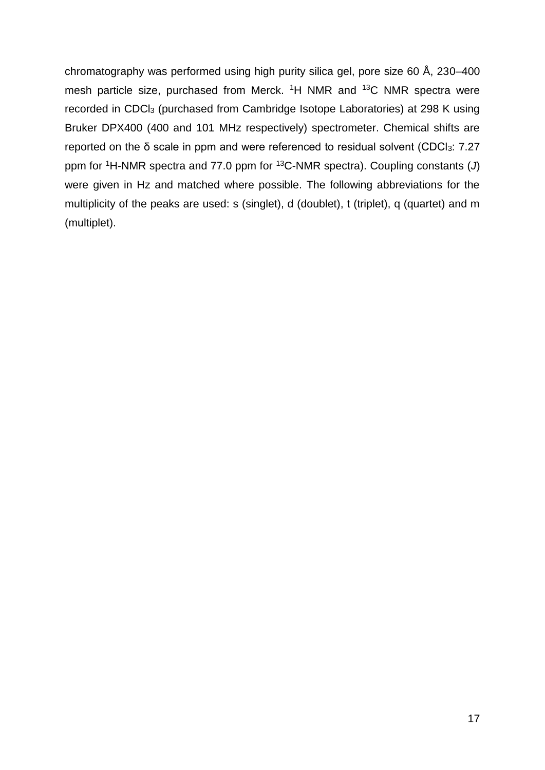chromatography was performed using high purity silica gel, pore size 60 Å, 230–400 mesh particle size, purchased from Merck. <sup>1</sup>H NMR and <sup>13</sup>C NMR spectra were recorded in CDCl<sup>3</sup> (purchased from Cambridge Isotope Laboratories) at 298 K using Bruker DPX400 (400 and 101 MHz respectively) spectrometer. Chemical shifts are reported on the δ scale in ppm and were referenced to residual solvent (CDCl3: 7.27 ppm for <sup>1</sup>H-NMR spectra and 77.0 ppm for <sup>13</sup>C-NMR spectra). Coupling constants (*J*) were given in Hz and matched where possible. The following abbreviations for the multiplicity of the peaks are used: s (singlet), d (doublet), t (triplet), q (quartet) and m (multiplet).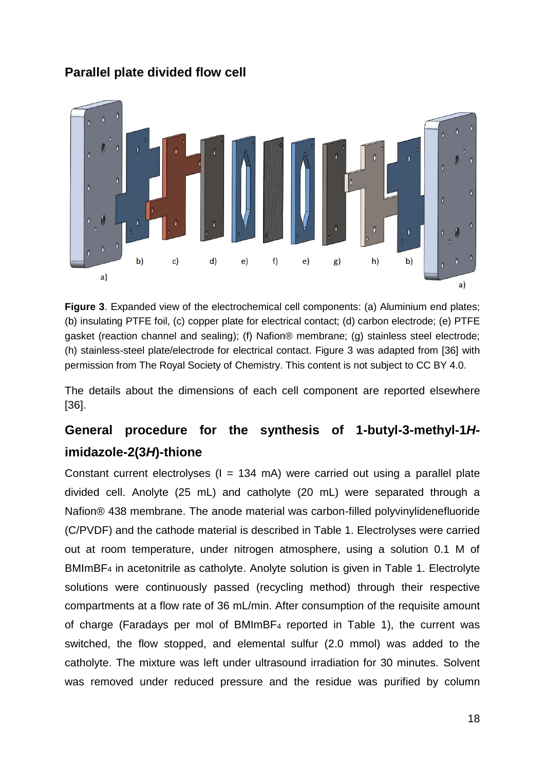#### **Parallel plate divided flow cell**



**Figure 3**. Expanded view of the electrochemical cell components: (a) Aluminium end plates; (b) insulating PTFE foil, (c) copper plate for electrical contact; (d) carbon electrode; (e) PTFE gasket (reaction channel and sealing); (f) Nafion® membrane; (g) stainless steel electrode; (h) stainless-steel plate/electrode for electrical contact. Figure 3 was adapted from [36] with permission from The Royal Society of Chemistry. This content is not subject to CC BY 4.0.

The details about the dimensions of each cell component are reported elsewhere [36].

### **General procedure for the synthesis of 1-butyl-3-methyl-1***H***imidazole-2(3***H***)-thione**

Constant current electrolyses  $(I = 134 \text{ mA})$  were carried out using a parallel plate divided cell. Anolyte (25 mL) and catholyte (20 mL) were separated through a Nafion® 438 membrane. The anode material was carbon-filled polyvinylidenefluoride (C/PVDF) and the cathode material is described in Table 1. Electrolyses were carried out at room temperature, under nitrogen atmosphere, using a solution 0.1 M of BMImBF<sup>4</sup> in acetonitrile as catholyte. Anolyte solution is given in Table 1. Electrolyte solutions were continuously passed (recycling method) through their respective compartments at a flow rate of 36 mL/min. After consumption of the requisite amount of charge (Faradays per mol of BMImBF<sup>4</sup> reported in Table 1), the current was switched, the flow stopped, and elemental sulfur (2.0 mmol) was added to the catholyte. The mixture was left under ultrasound irradiation for 30 minutes. Solvent was removed under reduced pressure and the residue was purified by column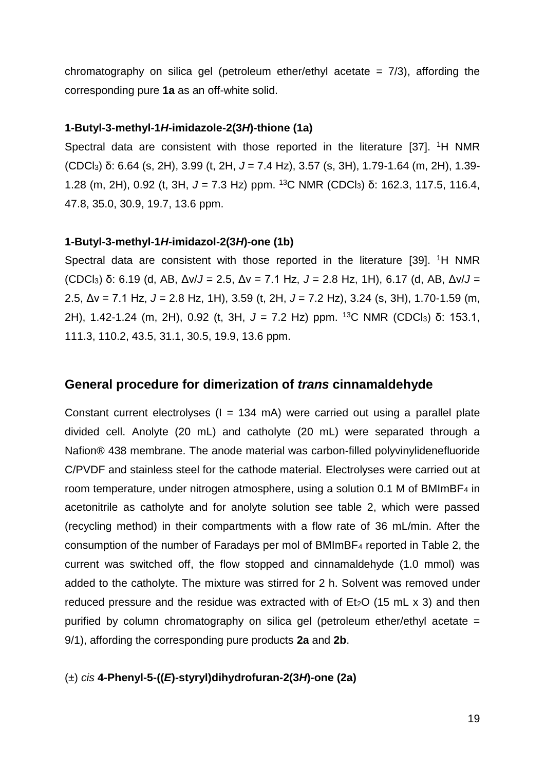chromatography on silica gel (petroleum ether/ethyl acetate  $= 7/3$ ), affording the corresponding pure **1a** as an off-white solid.

#### **1-Butyl-3-methyl-1***H-***imidazole-2(3***H***)-thione (1a)**

Spectral data are consistent with those reported in the literature [37]. <sup>1</sup>H NMR (CDCl3) δ: 6.64 (s, 2H), 3.99 (t, 2H, *J* = 7.4 Hz), 3.57 (s, 3H), 1.79-1.64 (m, 2H), 1.39- 1.28 (m, 2H), 0.92 (t, 3H, *J* = 7.3 Hz) ppm. <sup>13</sup>C NMR (CDCl3) δ: 162.3, 117.5, 116.4, 47.8, 35.0, 30.9, 19.7, 13.6 ppm.

#### **1-Butyl-3-methyl-1***H***-imidazol-2(3***H***)-one (1b)**

Spectral data are consistent with those reported in the literature [39]. <sup>1</sup>H NMR (CDCl3) δ: 6.19 (d, AB, Δν/*J* = 2.5, Δν = 7.1 Hz, *J* = 2.8 Hz, 1H), 6.17 (d, AB, Δν/*J* = 2.5, Δν = 7.1 Hz, *J* = 2.8 Hz, 1H), 3.59 (t, 2H, *J* = 7.2 Hz), 3.24 (s, 3H), 1.70-1.59 (m, 2H), 1.42-1.24 (m, 2H), 0.92 (t, 3H, *J* = 7.2 Hz) ppm. <sup>13</sup>C NMR (CDCl3) δ: 153.1, 111.3, 110.2, 43.5, 31.1, 30.5, 19.9, 13.6 ppm.

#### **General procedure for dimerization of** *trans* **cinnamaldehyde**

Constant current electrolyses  $(I = 134 \text{ mA})$  were carried out using a parallel plate divided cell. Anolyte (20 mL) and catholyte (20 mL) were separated through a Nafion® 438 membrane. The anode material was carbon-filled polyvinylidenefluoride C/PVDF and stainless steel for the cathode material. Electrolyses were carried out at room temperature, under nitrogen atmosphere, using a solution 0.1 M of BMImBF<sub>4</sub> in acetonitrile as catholyte and for anolyte solution see table 2, which were passed (recycling method) in their compartments with a flow rate of 36 mL/min. After the consumption of the number of Faradays per mol of BMImBF<sup>4</sup> reported in Table 2, the current was switched off, the flow stopped and cinnamaldehyde (1.0 mmol) was added to the catholyte. The mixture was stirred for 2 h. Solvent was removed under reduced pressure and the residue was extracted with of  $Et<sub>2</sub>O$  (15 mL x 3) and then purified by column chromatography on silica gel (petroleum ether/ethyl acetate = 9/1), affording the corresponding pure products **2a** and **2b**.

(±) *cis* **4-Phenyl-5-((***E***)-styryl)dihydrofuran-2(3***H***)-one (2a)**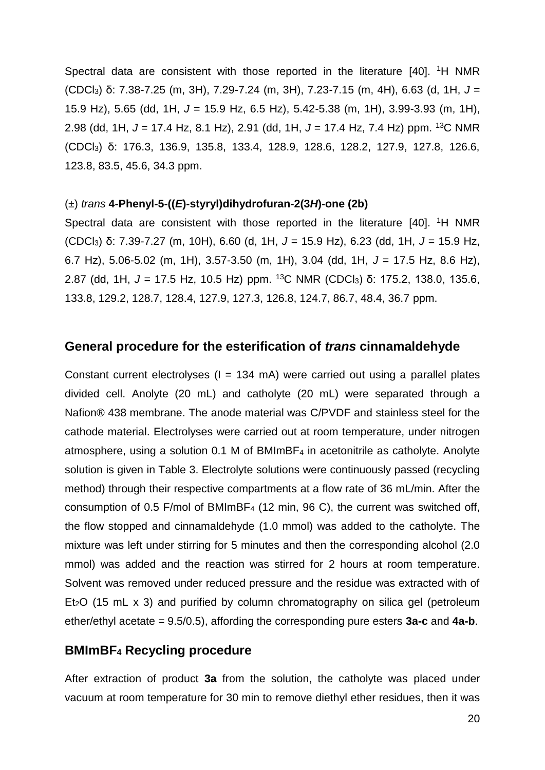Spectral data are consistent with those reported in the literature [40]. <sup>1</sup>H NMR (CDCl3) δ: 7.38-7.25 (m, 3H), 7.29-7.24 (m, 3H), 7.23-7.15 (m, 4H), 6.63 (d, 1H, *J* = 15.9 Hz), 5.65 (dd, 1H, *J* = 15.9 Hz, 6.5 Hz), 5.42-5.38 (m, 1H), 3.99-3.93 (m, 1H), 2.98 (dd, 1H, *J* = 17.4 Hz, 8.1 Hz), 2.91 (dd, 1H, *J* = 17.4 Hz, 7.4 Hz) ppm. <sup>13</sup>C NMR (CDCl3) δ: 176.3, 136.9, 135.8, 133.4, 128.9, 128.6, 128.2, 127.9, 127.8, 126.6, 123.8, 83.5, 45.6, 34.3 ppm.

#### (±) *trans* **4-Phenyl-5-((***E***)-styryl)dihydrofuran-2(3***H***)-one (2b)**

Spectral data are consistent with those reported in the literature [40]. <sup>1</sup>H NMR (CDCl3) δ: 7.39-7.27 (m, 10H), 6.60 (d, 1H, *J* = 15.9 Hz), 6.23 (dd, 1H, *J* = 15.9 Hz, 6.7 Hz), 5.06-5.02 (m, 1H), 3.57-3.50 (m, 1H), 3.04 (dd, 1H, *J* = 17.5 Hz, 8.6 Hz), 2.87 (dd, 1H, J = 17.5 Hz, 10.5 Hz) ppm. <sup>13</sup>C NMR (CDCl<sub>3</sub>) δ: 175.2, 138.0, 135.6, 133.8, 129.2, 128.7, 128.4, 127.9, 127.3, 126.8, 124.7, 86.7, 48.4, 36.7 ppm.

#### **General procedure for the esterification of** *trans* **cinnamaldehyde**

Constant current electrolyses  $(I = 134 \text{ mA})$  were carried out using a parallel plates divided cell. Anolyte (20 mL) and catholyte (20 mL) were separated through a Nafion® 438 membrane. The anode material was C/PVDF and stainless steel for the cathode material. Electrolyses were carried out at room temperature, under nitrogen atmosphere, using a solution 0.1 M of BMImBF<sup>4</sup> in acetonitrile as catholyte. Anolyte solution is given in Table 3. Electrolyte solutions were continuously passed (recycling method) through their respective compartments at a flow rate of 36 mL/min. After the consumption of 0.5 F/mol of BMImBF<sup>4</sup> (12 min, 96 C), the current was switched off, the flow stopped and cinnamaldehyde (1.0 mmol) was added to the catholyte. The mixture was left under stirring for 5 minutes and then the corresponding alcohol (2.0 mmol) was added and the reaction was stirred for 2 hours at room temperature. Solvent was removed under reduced pressure and the residue was extracted with of Et<sub>2</sub>O (15 mL x 3) and purified by column chromatography on silica gel (petroleum ether/ethyl acetate = 9.5/0.5), affording the corresponding pure esters **3a-c** and **4a-b**.

#### **BMImBF<sup>4</sup> Recycling procedure**

After extraction of product **3a** from the solution, the catholyte was placed under vacuum at room temperature for 30 min to remove diethyl ether residues, then it was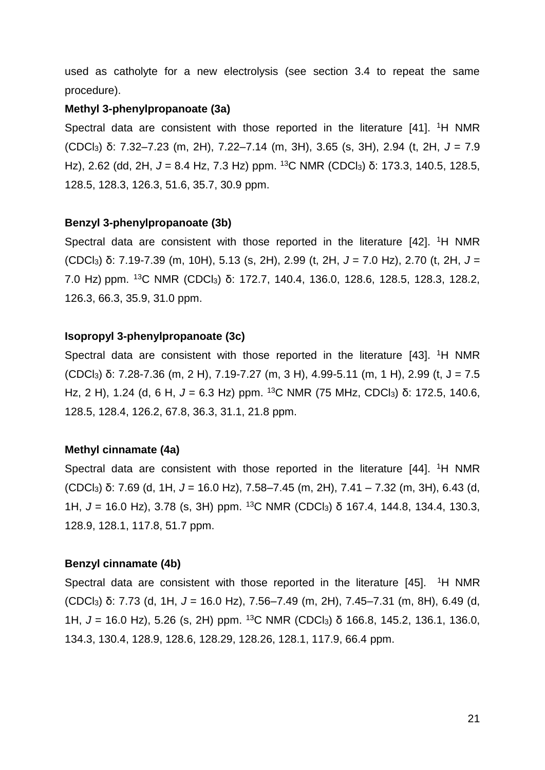used as catholyte for a new electrolysis (see section 3.4 to repeat the same procedure).

#### **Methyl 3-phenylpropanoate (3a)**

Spectral data are consistent with those reported in the literature [41]. <sup>1</sup>H NMR (CDCl3) δ: 7.32–7.23 (m, 2H), 7.22–7.14 (m, 3H), 3.65 (s, 3H), 2.94 (t, 2H, *J* = 7.9 Hz), 2.62 (dd, 2H, J = 8.4 Hz, 7.3 Hz) ppm. <sup>13</sup>C NMR (CDCl<sub>3</sub>) δ: 173.3, 140.5, 128.5, 128.5, 128.3, 126.3, 51.6, 35.7, 30.9 ppm.

#### **Benzyl 3-phenylpropanoate (3b)**

Spectral data are consistent with those reported in the literature [42]. <sup>1</sup>H NMR (CDCl3) δ: 7.19-7.39 (m, 10H), 5.13 (s, 2H), 2.99 (t, 2H, *J* = 7.0 Hz), 2.70 (t, 2H, *J* = 7.0 Hz) ppm. <sup>13</sup>C NMR (CDCl<sub>3</sub>) δ: 172.7, 140.4, 136.0, 128.6, 128.5, 128.3, 128.2, 126.3, 66.3, 35.9, 31.0 ppm.

#### **Isopropyl 3-phenylpropanoate (3c)**

Spectral data are consistent with those reported in the literature [43]. <sup>1</sup>H NMR (CDCl3) δ: 7.28-7.36 (m, 2 H), 7.19-7.27 (m, 3 H), 4.99-5.11 (m, 1 H), 2.99 (t, J = 7.5 Hz, 2 H), 1.24 (d, 6 H, *J* = 6.3 Hz) ppm. <sup>13</sup>C NMR (75 MHz, CDCl3) δ: 172.5, 140.6, 128.5, 128.4, 126.2, 67.8, 36.3, 31.1, 21.8 ppm.

#### **Methyl cinnamate (4a)**

Spectral data are consistent with those reported in the literature [44]. <sup>1</sup>H NMR (CDCl3) δ: 7.69 (d, 1H, *J* = 16.0 Hz), 7.58–7.45 (m, 2H), 7.41 – 7.32 (m, 3H), 6.43 (d, 1H, J = 16.0 Hz), 3.78 (s, 3H) ppm. <sup>13</sup>C NMR (CDCl<sub>3</sub>) δ 167.4, 144.8, 134.4, 130.3, 128.9, 128.1, 117.8, 51.7 ppm.

#### **Benzyl cinnamate (4b)**

Spectral data are consistent with those reported in the literature  $[45]$ . <sup>1</sup>H NMR (CDCl3) δ: 7.73 (d, 1H, *J* = 16.0 Hz), 7.56–7.49 (m, 2H), 7.45–7.31 (m, 8H), 6.49 (d, 1H, J = 16.0 Hz), 5.26 (s, 2H) ppm. <sup>13</sup>C NMR (CDCl<sub>3</sub>) δ 166.8, 145.2, 136.1, 136.0, 134.3, 130.4, 128.9, 128.6, 128.29, 128.26, 128.1, 117.9, 66.4 ppm.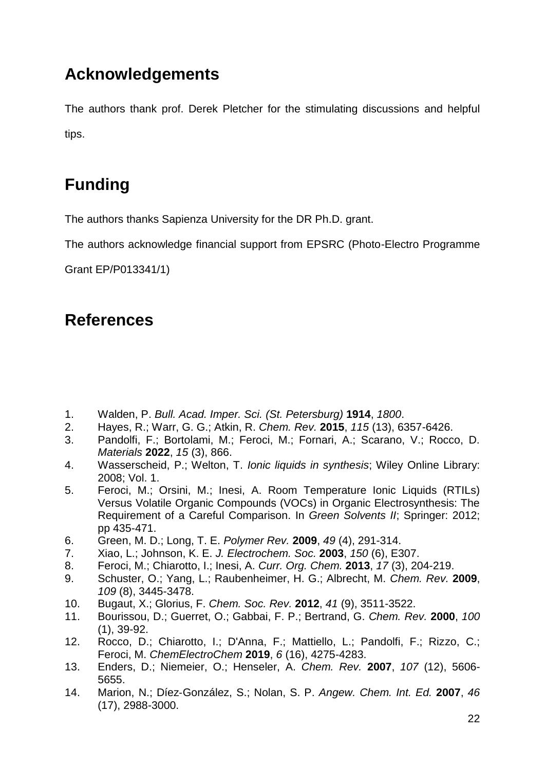### **Acknowledgements**

The authors thank prof. Derek Pletcher for the stimulating discussions and helpful tips.

## **Funding**

The authors thanks Sapienza University for the DR Ph.D. grant.

The authors acknowledge financial support from EPSRC (Photo-Electro Programme

Grant EP/P013341/1)

### **References**

- 1. Walden, P. *Bull. Acad. Imper. Sci. (St. Petersburg)* **1914**, *1800*.
- 2. Hayes, R.; Warr, G. G.; Atkin, R. *Chem. Rev.* **2015**, *115* (13), 6357-6426.
- 3. Pandolfi, F.; Bortolami, M.; Feroci, M.; Fornari, A.; Scarano, V.; Rocco, D. *Materials* **2022**, *15* (3), 866.
- 4. Wasserscheid, P.; Welton, T. *Ionic liquids in synthesis*; Wiley Online Library: 2008; Vol. 1.
- 5. Feroci, M.; Orsini, M.; Inesi, A. Room Temperature Ionic Liquids (RTILs) Versus Volatile Organic Compounds (VOCs) in Organic Electrosynthesis: The Requirement of a Careful Comparison. In *Green Solvents II*; Springer: 2012; pp 435-471.
- 6. Green, M. D.; Long, T. E. *Polymer Rev.* **2009**, *49* (4), 291-314.
- 7. Xiao, L.; Johnson, K. E. *J. Electrochem. Soc.* **2003**, *150* (6), E307.
- 8. Feroci, M.; Chiarotto, I.; Inesi, A. *Curr. Org. Chem.* **2013**, *17* (3), 204-219.
- 9. Schuster, O.; Yang, L.; Raubenheimer, H. G.; Albrecht, M. *Chem. Rev.* **2009**, *109* (8), 3445-3478.
- 10. Bugaut, X.; Glorius, F. *Chem. Soc. Rev.* **2012**, *41* (9), 3511-3522.
- 11. Bourissou, D.; Guerret, O.; Gabbai, F. P.; Bertrand, G. *Chem. Rev.* **2000**, *100* (1), 39-92.
- 12. Rocco, D.; Chiarotto, I.; D'Anna, F.; Mattiello, L.; Pandolfi, F.; Rizzo, C.; Feroci, M. *ChemElectroChem* **2019**, *6* (16), 4275-4283.
- 13. Enders, D.; Niemeier, O.; Henseler, A. *Chem. Rev.* **2007**, *107* (12), 5606- 5655.
- 14. Marion, N.; Díez‐González, S.; Nolan, S. P. *Angew. Chem. Int. Ed.* **2007**, *46* (17), 2988-3000.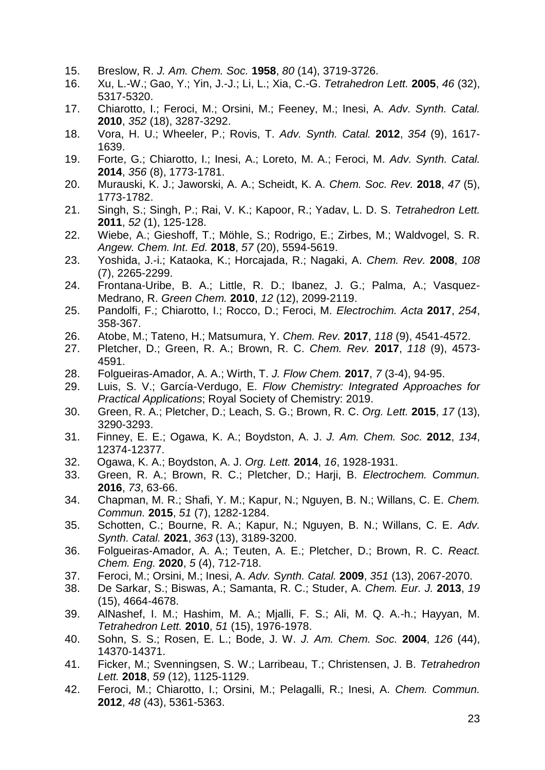- 15. Breslow, R. *J. Am. Chem. Soc.* **1958**, *80* (14), 3719-3726.
- 16. Xu, L.-W.; Gao, Y.; Yin, J.-J.; Li, L.; Xia, C.-G. *Tetrahedron Lett.* **2005**, *46* (32), 5317-5320.
- 17. Chiarotto, I.; Feroci, M.; Orsini, M.; Feeney, M.; Inesi, A. *Adv. Synth. Catal.* **2010**, *352* (18), 3287-3292.
- 18. Vora, H. U.; Wheeler, P.; Rovis, T. *Adv. Synth. Catal.* **2012**, *354* (9), 1617- 1639.
- 19. Forte, G.; Chiarotto, I.; Inesi, A.; Loreto, M. A.; Feroci, M. *Adv. Synth. Catal.* **2014**, *356* (8), 1773-1781.
- 20. Murauski, K. J.; Jaworski, A. A.; Scheidt, K. A. *Chem. Soc. Rev.* **2018**, *47* (5), 1773-1782.
- 21. Singh, S.; Singh, P.; Rai, V. K.; Kapoor, R.; Yadav, L. D. S. *Tetrahedron Lett.* **2011**, *52* (1), 125-128.
- 22. Wiebe, A.; Gieshoff, T.; Möhle, S.; Rodrigo, E.; Zirbes, M.; Waldvogel, S. R. *Angew. Chem. Int. Ed.* **2018**, *57* (20), 5594-5619.
- 23. Yoshida, J.-i.; Kataoka, K.; Horcajada, R.; Nagaki, A. *Chem. Rev.* **2008**, *108* (7), 2265-2299.
- 24. Frontana-Uribe, B. A.; Little, R. D.; Ibanez, J. G.; Palma, A.; Vasquez-Medrano, R. *Green Chem.* **2010**, *12* (12), 2099-2119.
- 25. Pandolfi, F.; Chiarotto, I.; Rocco, D.; Feroci, M. *Electrochim. Acta* **2017**, *254*, 358-367.
- 26. Atobe, M.; Tateno, H.; Matsumura, Y. *Chem. Rev.* **2017**, *118* (9), 4541-4572.
- 27. Pletcher, D.; Green, R. A.; Brown, R. C. *Chem. Rev.* **2017**, *118* (9), 4573- 4591.
- 28. Folgueiras-Amador, A. A.; Wirth, T. *J. Flow Chem.* **2017**, *7* (3-4), 94-95.
- 29. Luis, S. V.; García-Verdugo, E. *Flow Chemistry: Integrated Approaches for Practical Applications*; Royal Society of Chemistry: 2019.
- 30. Green, R. A.; Pletcher, D.; Leach, S. G.; Brown, R. C. *Org. Lett.* **2015**, *17* (13), 3290-3293.
- 31. Finney, E. E.; Ogawa, K. A.; Boydston, A. J. *J. Am. Chem. Soc.* **2012**, *134*, 12374-12377.
- 32. Ogawa, K. A.; Boydston, A. J. *Org. Lett.* **2014**, *16*, 1928-1931.
- 33. Green, R. A.; Brown, R. C.; Pletcher, D.; Harji, B. *Electrochem. Commun.* **2016**, *73*, 63-66.
- 34. Chapman, M. R.; Shafi, Y. M.; Kapur, N.; Nguyen, B. N.; Willans, C. E. *Chem. Commun.* **2015**, *51* (7), 1282-1284.
- 35. Schotten, C.; Bourne, R. A.; Kapur, N.; Nguyen, B. N.; Willans, C. E. *Adv. Synth. Catal.* **2021**, *363* (13), 3189-3200.
- 36. Folgueiras-Amador, A. A.; Teuten, A. E.; Pletcher, D.; Brown, R. C. *React. Chem. Eng.* **2020**, *5* (4), 712-718.
- 37. Feroci, M.; Orsini, M.; Inesi, A. *Adv. Synth. Catal.* **2009**, *351* (13), 2067-2070.
- 38. De Sarkar, S.; Biswas, A.; Samanta, R. C.; Studer, A. *Chem. Eur. J.* **2013**, *19* (15), 4664-4678.
- 39. AlNashef, I. M.; Hashim, M. A.; Mjalli, F. S.; Ali, M. Q. A.-h.; Hayyan, M. *Tetrahedron Lett.* **2010**, *51* (15), 1976-1978.
- 40. Sohn, S. S.; Rosen, E. L.; Bode, J. W. *J. Am. Chem. Soc.* **2004**, *126* (44), 14370-14371.
- 41. Ficker, M.; Svenningsen, S. W.; Larribeau, T.; Christensen, J. B. *Tetrahedron Lett.* **2018**, *59* (12), 1125-1129.
- 42. Feroci, M.; Chiarotto, I.; Orsini, M.; Pelagalli, R.; Inesi, A. *Chem. Commun.* **2012**, *48* (43), 5361-5363.